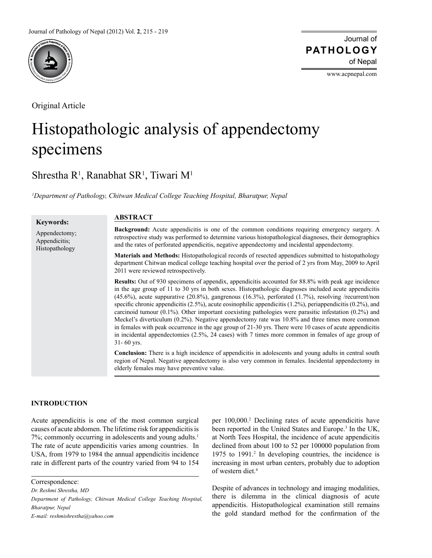

Original Article

Journal of of Nepal **PATHOLOGY**

www.acpnepal.com

# Histopathologic analysis of appendectomy specimens

## Shrestha R<sup>1</sup>, Ranabhat SR<sup>1</sup>, Tiwari M<sup>1</sup>

*1 Department of Pathology, Chitwan Medical College Teaching Hospital, Bharatpur, Nepal*

| <b>Keywords:</b>                                 | <b>ABSTRACT</b>                                                                                                                                                                                                                                                                                                                                                                                                                                                                                                                                                                                                                                                                                                                                                                                                                                                                                                             |
|--------------------------------------------------|-----------------------------------------------------------------------------------------------------------------------------------------------------------------------------------------------------------------------------------------------------------------------------------------------------------------------------------------------------------------------------------------------------------------------------------------------------------------------------------------------------------------------------------------------------------------------------------------------------------------------------------------------------------------------------------------------------------------------------------------------------------------------------------------------------------------------------------------------------------------------------------------------------------------------------|
| Appendectomy;<br>Appendicitis;<br>Histopathology | <b>Background:</b> Acute appendicitis is one of the common conditions requiring emergency surgery. A<br>retrospective study was performed to determine various histopathological diagnoses, their demographics<br>and the rates of perforated appendicitis, negative appendectomy and incidental appendectomy.                                                                                                                                                                                                                                                                                                                                                                                                                                                                                                                                                                                                              |
|                                                  | <b>Materials and Methods:</b> Histopathological records of resected appendices submitted to histopathology<br>department Chitwan medical college teaching hospital over the period of 2 yrs from May, 2009 to April<br>2011 were reviewed retrospectively.                                                                                                                                                                                                                                                                                                                                                                                                                                                                                                                                                                                                                                                                  |
|                                                  | Results: Out of 930 specimens of appendix, appendicitis accounted for 88.8% with peak age incidence<br>in the age group of 11 to 30 yrs in both sexes. Histopathologic diagnoses included acute appendicitis<br>$(45.6\%)$ , acute suppurative $(20.8\%)$ , gangrenous $(16.3\%)$ , perforated $(1.7\%)$ , resolving /recurrent/non<br>specific chronic appendicitis $(2.5\%)$ , acute eosinophilic appendicitis $(1.2\%)$ , periappendicitis $(0.2\%)$ , and<br>carcinoid tumour $(0.1\%)$ . Other important coexisting pathologies were parasitic infestation $(0.2\%)$ and<br>Meckel's diverticulum (0.2%). Negative appendectomy rate was 10.8% and three times more common<br>in females with peak occurrence in the age group of $21-30$ yrs. There were 10 cases of acute appendicitis<br>in incidental appendectomies $(2.5\%, 24 \text{ cases})$ with 7 times more common in females of age group of<br>31-60 yrs. |
|                                                  | <b>Conclusion:</b> There is a high incidence of appendicitis in adolescents and young adults in central south<br>region of Nepal. Negative appendectomy is also very common in females. Incidental appendectomy in<br>elderly females may have preventive value.                                                                                                                                                                                                                                                                                                                                                                                                                                                                                                                                                                                                                                                            |

### **INTRODUCTION**

Acute appendicitis is one of the most common surgical causes of acute abdomen. The lifetime risk for appendicitis is 7%; commonly occurring in adolescents and young adults.<sup>1</sup> The rate of acute appendicitis varies among countries. In USA, from 1979 to 1984 the annual appendicitis incidence rate in different parts of the country varied from 94 to 154

Correspondence:

*Dr. Reshmi Shrestha, MD*

*E-mail: reshmishrestha@yahoo.com* 

per 100,000.2 Declining rates of acute appendicitis have been reported in the United States and Europe.<sup>3</sup> In the UK, at North Tees Hospital, the incidence of acute appendicitis declined from about 100 to 52 per 100000 population from 1975 to 1991.<sup>2</sup> In developing countries, the incidence is increasing in most urban centers, probably due to adoption of western diet.4

Despite of advances in technology and imaging modalities, there is dilemma in the clinical diagnosis of acute appendicitis. Histopathological examination still remains the gold standard method for the confirmation of the

*Department of Pathology, Chitwan Medical College Teaching Hospital, Bharatpur, Nepal*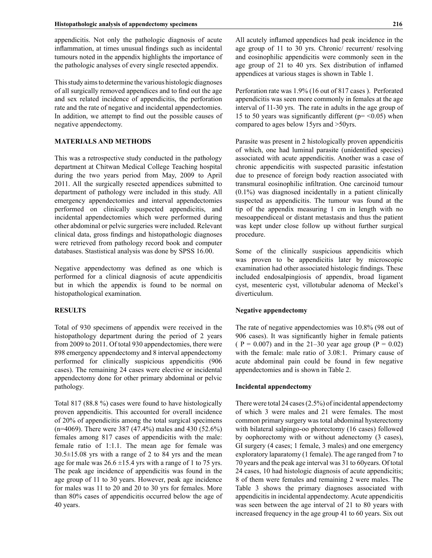appendicitis. Not only the pathologic diagnosis of acute inflammation, at times unusual findings such as incidental tumours noted in the appendix highlights the importance of the pathologic analyses of every single resected appendix.

This study aims to determine the various histologic diagnoses of all surgically removed appendices and to find out the age and sex related incidence of appendicitis, the perforation rate and the rate of negative and incidental appendectomies. In addition, we attempt to find out the possible causes of negative appendectomy.

#### **MATERIALS AND METHODS**

This was a retrospective study conducted in the pathology department at Chitwan Medical College Teaching hospital during the two years period from May, 2009 to April 2011. All the surgically resected appendices submitted to department of pathology were included in this study. All emergency appendectomies and interval appendectomies performed on clinically suspected appendicitis, and incidental appendectomies which were performed during other abdominal or pelvic surgeries were included. Relevant clinical data, gross findings and histopathologic diagnoses were retrieved from pathology record book and computer databases. Stastistical analysis was done by SPSS 16.00.

Negative appendectomy was defined as one which is performed for a clinical diagnosis of acute appendicitis but in which the appendix is found to be normal on histopathological examination.

#### **RESULTS**

Total of 930 specimens of appendix were received in the histopathology department during the period of 2 years from 2009 to 2011. Of total 930 appendectomies, there were 898 emergency appendectomy and 8 interval appendectomy performed for clinically suspicious appendicitis (906 cases). The remaining 24 cases were elective or incidental appendectomy done for other primary abdominal or pelvic pathology.

Total 817 (88.8 %) cases were found to have histologically proven appendicitis. This accounted for overall incidence of 20% of appendicitis among the total surgical specimens (n=4069). There were 387 (47.4%) males and 430 (52.6%) females among 817 cases of appendicitis with the male: female ratio of 1:1.1. The mean age for female was 30.5±15.08 yrs with a range of 2 to 84 yrs and the mean age for male was  $26.6 \pm 15.4$  yrs with a range of 1 to 75 yrs. The peak age incidence of appendicitis was found in the age group of 11 to 30 years. However, peak age incidence for males was 11 to 20 and 20 to 30 yrs for females. More than 80% cases of appendicitis occurred below the age of 40 years.

All acutely inflamed appendices had peak incidence in the age group of 11 to 30 yrs. Chronic/ recurrent/ resolving and eosinophilic appendicitis were commonly seen in the age group of 21 to 40 yrs. Sex distribution of inflamed appendices at various stages is shown in Table 1.

Perforation rate was 1.9% (16 out of 817 cases ). Perforated appendicitis was seen more commonly in females at the age interval of 11-30 yrs. The rate in adults in the age group of 15 to 50 years was significantly different ( $p = < 0.05$ ) when compared to ages below 15yrs and >50yrs.

Parasite was present in 2 histologically proven appendicitis of which, one had luminal parasite (unidentified species) associated with acute appendicitis. Another was a case of chronic appendicitis with suspected parasitic infestation due to presence of foreign body reaction associated with transmural eosinophilic infiltration. One carcinoid tumour (0.1%) was diagnosed incidentally in a patient clinically suspected as appendicitis. The tumour was found at the tip of the appendix measuring 1 cm in length with no mesoappendiceal or distant metastasis and thus the patient was kept under close follow up without further surgical procedure.

Some of the clinically suspicious appendicitis which was proven to be appendicitis later by microscopic examination had other associated histologic findings. These included endosalpingiosis of appendix, broad ligament cyst, mesenteric cyst, villotubular adenoma of Meckel's diverticulum.

#### **Negative appendectomy**

The rate of negative appendectomies was 10.8% (98 out of 906 cases). It was significantly higher in female patients (  $P = 0.007$ ) and in the 21–30 year age group ( $P = 0.02$ ) with the female: male ratio of 3.08:1. Primary cause of acute abdominal pain could be found in few negative appendectomies and is shown in Table 2.

#### **Incidental appendectomy**

There were total 24 cases (2.5%) of incidental appendectomy of which 3 were males and 21 were females. The most common primary surgery was total abdominal hysterectomy with bilateral salpingo-oo phorectomy (16 cases) followed by oophorectomy with or without adenectomy (3 cases), GI surgery (4 cases; 1 female, 3 males) and one emergency exploratory laparatomy (1 female). The age ranged from 7 to 70 years and the peak age interval was 31 to 60years. Of total 24 cases, 10 had histologic diagnosis of acute appendicitis; 8 of them were females and remaining 2 were males. The Table 3 shows the primary diagnoses associated with appendicitis in incidental appendectomy. Acute appendicitis was seen between the age interval of 21 to 80 years with increased frequency in the age group 41 to 60 years. Six out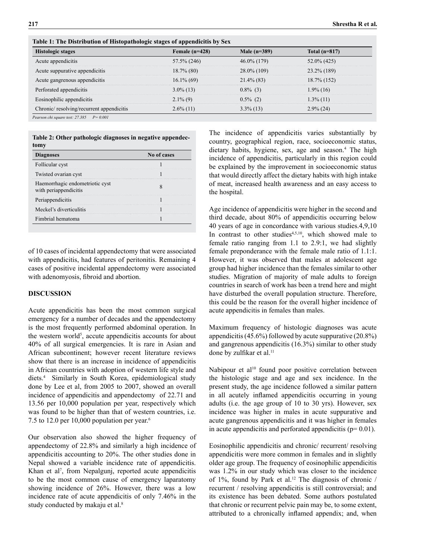| Table 1. The Distribution of Histopathologic stages of appendicties by Oca |                  |                |                 |  |  |  |
|----------------------------------------------------------------------------|------------------|----------------|-----------------|--|--|--|
| <b>Histologic stages</b>                                                   | Female $(n=428)$ | Male $(n=389)$ | Total $(n=817)$ |  |  |  |
| Acute appendicitis                                                         | 57.5% (246)      | $46.0\%$ (179) | $52.0\%$ (425)  |  |  |  |
| Acute suppurative appendicitis                                             | $18.7\%$ (80)    | $28.0\%$ (109) | $23.2\%$ (189)  |  |  |  |
| Acute gangrenous appendicitis                                              | $16.1\%$ (69)    | $21.4\%$ (83)  | 18.7% (152)     |  |  |  |
| Perforated appendicitis                                                    | $3.0\%$ (13)     | $0.8\%$ (3)    | $1.9\%$ (16)    |  |  |  |
| Eosinophilic appendicitis                                                  | $2.1\%$ (9)      | $0.5\%$ (2)    | $1.3\%$ (11)    |  |  |  |
| Chronic/resolving/recurrent appendicitis                                   | $2.6\%$ (11)     | $3.3\%$ (13)   | $2.9\%$ (24)    |  |  |  |
|                                                                            |                  |                |                 |  |  |  |

**Table 1: The Distribution of Histopathologic stages of appendicitis by Sex**

*Pearson chi square test: 27.385 P= 0.001*

| Table 2: Other pathologic diagnoses in negative appendec- |  |  |  |
|-----------------------------------------------------------|--|--|--|
| tomy                                                      |  |  |  |

| <b>Diagnoses</b>                                         | No of cases |
|----------------------------------------------------------|-------------|
| Follicular cyst                                          |             |
| Twisted ovarian cyst                                     |             |
| Haemorrhagic endometriotic cyst<br>with periappendicitis |             |
| Periappendicitis                                         |             |
| Meckel's diverticulitis                                  |             |
| Fimbrial hematoma                                        |             |

of 10 cases of incidental appendectomy that were associated with appendicitis, had features of peritonitis. Remaining 4 cases of positive incidental appendectomy were associated with adenomyosis, fibroid and abortion.

#### **DISCUSSION**

Acute appendicitis has been the most common surgical emergency for a number of decades and the appendectomy is the most frequently performed abdominal operation. In the western world<sup>5</sup>, accute appendicitis accounts for about 40% of all surgical emergencies. It is rare in Asian and African subcontinent; however recent literature reviews show that there is an increase in incidence of appendicitis in African countries with adoption of western life style and diets.4 Similarly in South Korea, epidemiological study done by Lee et al, from 2005 to 2007, showed an overall incidence of appendicitis and appendectomy of 22.71 and 13.56 per 10,000 population per year, respectively which was found to be higher than that of western countries, i.e. 7.5 to 12.0 per 10,000 population per year.6

Our observation also showed the higher frequency of appendectomy of 22.8% and similarly a high incidence of appendicitis accounting to 20%. The other studies done in Nepal showed a variable incidence rate of appendicitis. Khan et al<sup>7</sup>, from Nepalgunj, reported acute appendicitis to be the most common cause of emergency laparatomy showing incidence of 26%. However, there was a low incidence rate of acute appendicitis of only 7.46% in the study conducted by makaju et al.<sup>8</sup>

The incidence of appendicitis varies substantially by country, geographical region, race, socioeconomic status, dietary habits, hygiene, sex, age and season.<sup>4</sup> The high incidence of appendicitis, particularly in this region could be explained by the improvement in socioeconomic status that would directly affect the dietary habits with high intake of meat, increased health awareness and an easy access to the hospital.

Age incidence of appendicitis were higher in the second and third decade, about 80% of appendicitis occurring below 40 years of age in concordance with various studies.4,9,10 In contrast to other studies $4,5,10$ , which showed male to female ratio ranging from 1.1 to 2.9:1, we had slightly female preponderance with the female male ratio of 1.1:1. However, it was observed that males at adolescent age group had higher incidence than the females similar to other studies. Migration of majority of male adults to foreign countries in search of work has been a trend here and might have disturbed the overall population structure. Therefore, this could be the reason for the overall higher incidence of acute appendicitis in females than males.

Maximum frequency of histologic diagnoses was acute appendicitis (45.6%) followed by acute suppurative (20.8%) and gangrenous appendicitis (16.3%) similar to other study done by zulfikar et al.<sup>11</sup>

Nabipour et al<sup>10</sup> found poor positive correlation between the histologic stage and age and sex incidence. In the present study, the age incidence followed a similar pattern in all acutely inflamed appendicitis occurring in young adults (i.e. the age group of 10 to 30 yrs). However, sex incidence was higher in males in acute suppurative and acute gangrenous appendicitis and it was higher in females in acute appendicitis and perforated appendicitis  $(p= 0.01)$ .

Eosinophilic appendicitis and chronic/ recurrent/ resolving appendicitis were more common in females and in slightly older age group. The frequency of eosinophilic appendicitis was 1.2% in our study which was closer to the incidence of 1%, found by Park et al.<sup>12</sup> The diagnosis of chronic / recurrent / resolving appendicitis is still controversial; and its existence has been debated. Some authors postulated that chronic or recurrent pelvic pain may be, to some extent, attributed to a chronically inflamed appendix; and, when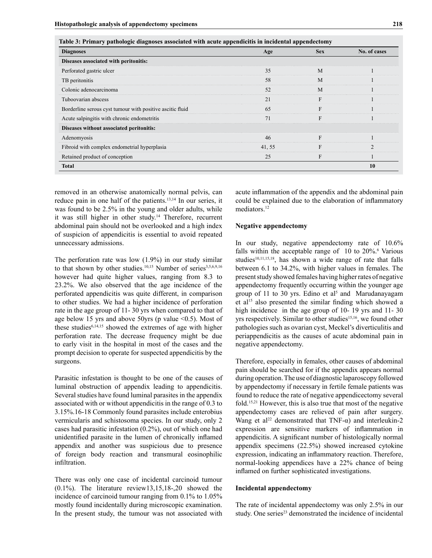| <b>Diagnoses</b>                                          | Age    | <b>Sex</b> | No. of cases |
|-----------------------------------------------------------|--------|------------|--------------|
| Diseases associated with peritonitis:                     |        |            |              |
| Perforated gastric ulcer                                  | 35     | M          |              |
| TB peritonitis                                            | 58     | M          |              |
| Colonic adenocarcinoma                                    | 52     | M          |              |
| Tuboovarian abscess                                       | 21     | F          |              |
| Borderline serous cyst tumour with positive ascitic fluid | 65     | F          |              |
| Acute salpingitis with chronic endometritis               | 71     | F          |              |
| Diseases without associated peritonitis:                  |        |            |              |
| Adenomyosis                                               | 46     | F          |              |
| Fibroid with complex endometrial hyperplasia              | 41, 55 | F          |              |
| Retained product of conception                            | 25     | F          |              |
| <b>Total</b>                                              |        |            | <b>10</b>    |

**Table 3: Primary pathologic diagnoses associated with acute appendicitis in incidental appendectomy**

removed in an otherwise anatomically normal pelvis, can reduce pain in one half of the patients.13,14 In our series, it was found to be 2.5% in the young and older adults, while it was still higher in other study.<sup>14</sup> Therefore, recurrent abdominal pain should not be overlooked and a high index of suspicion of appendicitis is essential to avoid repeated unnecessary admissions.

The perforation rate was low (1.9%) in our study similar to that shown by other studies.<sup>10,15</sup> Number of series<sup>3,5,6,9,16</sup> however had quite higher values, ranging from 8.3 to 23.2%. We also observed that the age incidence of the perforated appendicitis was quite different, in comparison to other studies. We had a higher incidence of perforation rate in the age group of 11- 30 yrs when compared to that of age below 15 yrs and above 50yrs (p value  $\leq 0.5$ ). Most of these studies $6,14,15$  showed the extremes of age with higher perforation rate. The decrease frequency might be due to early visit in the hospital in most of the cases and the prompt decision to operate for suspected appendicitis by the surgeons.

Parasitic infestation is thought to be one of the causes of luminal obstruction of appendix leading to appendicitis. Several studies have found luminal parasites in the appendix associated with or without appendicitis in the range of 0.3 to 3.15%.16-18 Commonly found parasites include enterobius vermicularis and schistosoma species. In our study, only 2 cases had parasitic infestation (0.2%), out of which one had unidentified parasite in the lumen of chronically inflamed appendix and another was suspicious due to presence of foreign body reaction and transmural eosinophilic infiltration.

There was only one case of incidental carcinoid tumour (0.1%). The literature review13,15,18-,20 showed the incidence of carcinoid tumour ranging from 0.1% to 1.05% mostly found incidentally during microscopic examination. In the present study, the tumour was not associated with

acute inflammation of the appendix and the abdominal pain could be explained due to the elaboration of inflammatory mediators.<sup>12</sup>

#### **Negative appendectomy**

In our study, negative appendectomy rate of 10.6% falls within the acceptable range of  $10$  to  $20\%$ <sup>6</sup> Various studies<sup>10,11,15,18</sup>, has shown a wide range of rate that falls between 6.1 to 34.2%, with higher values in females. The present study showed females having higher rates of negative appendectomy frequently occurring within the younger age group of 11 to 30 yrs. Edino et  $al<sup>5</sup>$  and Marudanayagam et al<sup>15</sup> also presented the similar finding which showed a high incidence in the age group of 10- 19 yrs and 11- 30 yrs respectively. Similar to other studies<sup>15,16</sup>, we found other pathologies such as ovarian cyst, Meckel's diverticulitis and periappendicitis as the causes of acute abdominal pain in negative appendectomy.

Therefore, especially in females, other causes of abdominal pain should be searched for if the appendix appears normal during operation. The use of diagnostic laparoscopy followed by appendectomy if necessary in fertile female patients was found to reduce the rate of negative appendicectomy several fold.15,21 However, this is also true that most of the negative appendectomy cases are relieved of pain after surgery. Wang et al<sup>22</sup> demonstrated that TNF- $\alpha$ ) and interleukin-2 expression are sensitive markers of inflammation in appendicitis. A significant number of histologically normal appendix specimens (22.5%) showed increased cytokine expression, indicating an inflammatory reaction. Therefore, normal-looking appendices have a 22% chance of being inflamed on further sophisticated investigations.

#### **Incidental appendectomy**

The rate of incidental appendectomy was only 2.5% in our study. One series<sup>23</sup> demonstrated the incidence of incidental